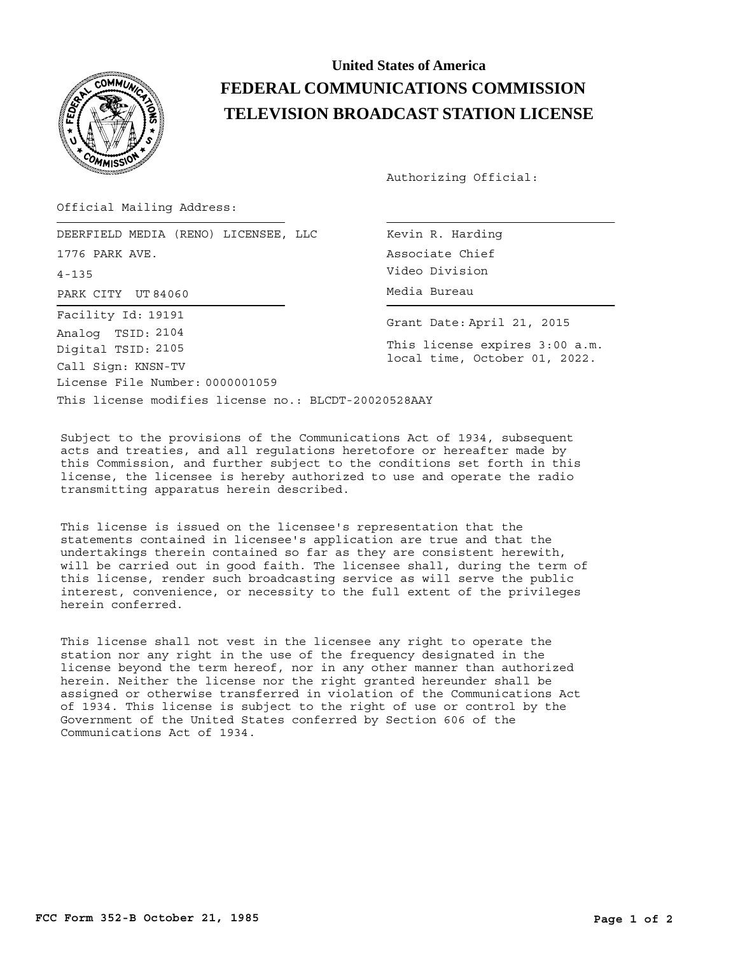

## **United States of America FEDERAL COMMUNICATIONS COMMISSION TELEVISION BROADCAST STATION LICENSE**

Authorizing Official:

Official Mailing Address:

PARK CITY UT 84060 CONTROL CONTROLLER Media Bureau DEERFIELD MEDIA (RENO) LICENSEE, LLC 1776 PARK AVE. 4-135 License File Number: 0000001059 Call Sign: KNSN-TV Facility Id: 19191 Digital TSID: 2105 Analog TSID: 2104

Kevin R. Harding Associate Chief Video Division

Grant Date: April 21, 2015

This license expires 3:00 a.m. local time, October 01, 2022.

This license modifies license no.: BLCDT-20020528AAY

Subject to the provisions of the Communications Act of 1934, subsequent acts and treaties, and all regulations heretofore or hereafter made by this Commission, and further subject to the conditions set forth in this license, the licensee is hereby authorized to use and operate the radio transmitting apparatus herein described.

This license is issued on the licensee's representation that the statements contained in licensee's application are true and that the undertakings therein contained so far as they are consistent herewith, will be carried out in good faith. The licensee shall, during the term of this license, render such broadcasting service as will serve the public interest, convenience, or necessity to the full extent of the privileges herein conferred.

This license shall not vest in the licensee any right to operate the station nor any right in the use of the frequency designated in the license beyond the term hereof, nor in any other manner than authorized herein. Neither the license nor the right granted hereunder shall be assigned or otherwise transferred in violation of the Communications Act of 1934. This license is subject to the right of use or control by the Government of the United States conferred by Section 606 of the Communications Act of 1934.